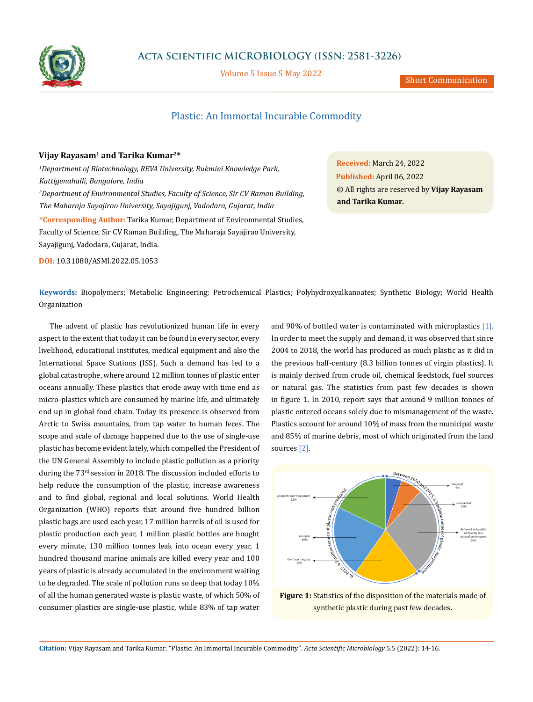

# **Acta Scientific MICROBIOLOGY (ISSN: 2581-3226)**

Volume 5 Issue 5 May 2022

## Plastic: An Immortal Incurable Commodity

### **Vijay Rayasam1 and Tarika Kumar2\***

*1 Department of Biotechnology, REVA University, Rukmini Knowledge Park, Kattigenahalli, Bangalore, India 2 Department of Environmental Studies, Faculty of Science, Sir CV Raman Building, The Maharaja Sayajirao University, Sayajigunj, Vadodara, Gujarat, India* **\*Corresponding Author:** Tarika Kumar, Department of Environmental Studies, Faculty of Science, Sir CV Raman Building, The Maharaja Sayajirao University, Sayajigunj, Vadodara, Gujarat, India.

**DOI:** [10.31080/ASMI.2022.05.1053](http://actascientific.com/ASMI/pdf/ASMI-05-1053.pdf)

**Received:** March 24, 2022 **Published:** April 06, 2022 © All rights are reserved by **Vijay Rayasam and Tarika Kumar***.*

**Keywords:** Biopolymers; Metabolic Engineering; Petrochemical Plastics; Polyhydroxyalkanoates; Synthetic Biology; World Health Organization

The advent of plastic has revolutionized human life in every aspect to the extent that today it can be found in every sector, every livelihood, educational institutes, medical equipment and also the International Space Stations (ISS). Such a demand has led to a global catastrophe, where around 12 million tonnes of plastic enter oceans annually. These plastics that erode away with time end as micro-plastics which are consumed by marine life, and ultimately end up in global food chain. Today its presence is observed from Arctic to Swiss mountains, from tap water to human feces. The scope and scale of damage happened due to the use of single-use plastic has become evident lately, which compelled the President of the UN General Assembly to include plastic pollution as a priority during the 73<sup>rd</sup> session in 2018. The discussion included efforts to help reduce the consumption of the plastic, increase awareness and to find global, regional and local solutions. World Health Organization (WHO) reports that around five hundred billion plastic bags are used each year, 17 million barrels of oil is used for plastic production each year, 1 million plastic bottles are bought every minute, 130 million tonnes leak into ocean every year, 1 hundred thousand marine animals are killed every year and 100 years of plastic is already accumulated in the environment waiting to be degraded. The scale of pollution runs so deep that today 10% of all the human generated waste is plastic waste, of which 50% of consumer plastics are single-use plastic, while 83% of tap water and 90% of bottled water is contaminated with microplastics [1]. In order to meet the supply and demand, it was observed that since 2004 to 2018, the world has produced as much plastic as it did in the previous half-century (8.3 billion tonnes of virgin plastics). It is mainly derived from crude oil, chemical feedstock, fuel sources or natural gas. The statistics from past few decades is shown in figure 1. In 2010, report says that around 9 million tonnes of plastic entered oceans solely due to mismanagement of the waste. Plastics account for around 10% of mass from the municipal waste and 85% of marine debris, most of which originated from the land sources [2].



**Figure 1:** Statistics of the disposition of the materials made of synthetic plastic during past few decades.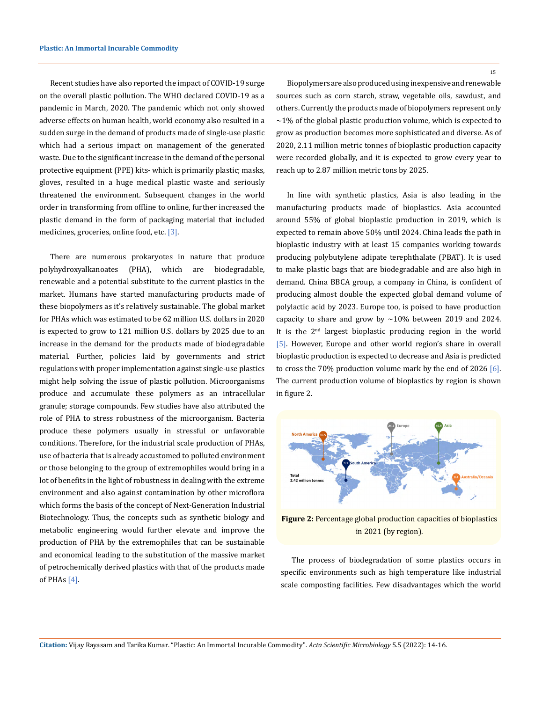Recent studies have also reported the impact of COVID-19 surge on the overall plastic pollution. The WHO declared COVID-19 as a pandemic in March, 2020. The pandemic which not only showed adverse effects on human health, world economy also resulted in a sudden surge in the demand of products made of single-use plastic which had a serious impact on management of the generated waste. Due to the significant increase in the demand of the personal protective equipment (PPE) kits- which is primarily plastic; masks, gloves, resulted in a huge medical plastic waste and seriously threatened the environment. Subsequent changes in the world order in transforming from offline to online, further increased the plastic demand in the form of packaging material that included medicines, groceries, online food, etc. [3].

There are numerous prokaryotes in nature that produce polyhydroxyalkanoates (PHA), which are biodegradable, renewable and a potential substitute to the current plastics in the market. Humans have started manufacturing products made of these biopolymers as it's relatively sustainable. The global market for PHAs which was estimated to be 62 million U.S. dollars in 2020 is expected to grow to 121 million U.S. dollars by 2025 due to an increase in the demand for the products made of biodegradable material. Further, policies laid by governments and strict regulations with proper implementation against single-use plastics might help solving the issue of plastic pollution. Microorganisms produce and accumulate these polymers as an intracellular granule; storage compounds. Few studies have also attributed the role of PHA to stress robustness of the microorganism. Bacteria produce these polymers usually in stressful or unfavorable conditions. Therefore, for the industrial scale production of PHAs, use of bacteria that is already accustomed to polluted environment or those belonging to the group of extremophiles would bring in a lot of benefits in the light of robustness in dealing with the extreme environment and also against contamination by other microflora which forms the basis of the concept of Next-Generation Industrial Biotechnology. Thus, the concepts such as synthetic biology and metabolic engineering would further elevate and improve the production of PHA by the extremophiles that can be sustainable and economical leading to the substitution of the massive market of petrochemically derived plastics with that of the products made of PHAs  $[4]$ .

**Citation:** Vijay Rayasam and Tarika Kumar*.* "Plastic: An Immortal Incurable Commodity". *Acta Scientific Microbiology* 5.5 (2022): 14-16.

Biopolymers are also produced using inexpensive and renewable sources such as corn starch, straw, vegetable oils, sawdust, and others. Currently the products made of biopolymers represent only  $\sim$ 1% of the global plastic production volume, which is expected to grow as production becomes more sophisticated and diverse. As of 2020, 2.11 million metric tonnes of bioplastic production capacity were recorded globally, and it is expected to grow every year to reach up to 2.87 million metric tons by 2025.

In line with synthetic plastics, Asia is also leading in the manufacturing products made of bioplastics. Asia accounted around 55% of global bioplastic production in 2019, which is expected to remain above 50% until 2024. China leads the path in bioplastic industry with at least 15 companies working towards producing polybutylene adipate terephthalate (PBAT). It is used to make plastic bags that are biodegradable and are also high in demand. China BBCA group, a company in China, is confident of producing almost double the expected global demand volume of polylactic acid by 2023. Europe too, is poised to have production capacity to share and grow by  $\sim$ 10% between 2019 and 2024. It is the 2nd largest bioplastic producing region in the world [5]. However, Europe and other world region's share in overall bioplastic production is expected to decrease and Asia is predicted to cross the 70% production volume mark by the end of 2026 [6]. The current production volume of bioplastics by region is shown in figure 2.



**Figure 2:** Percentage global production capacities of bioplastics in 2021 (by region).

The process of biodegradation of some plastics occurs in specific environments such as high temperature like industrial scale composting facilities. Few disadvantages which the world